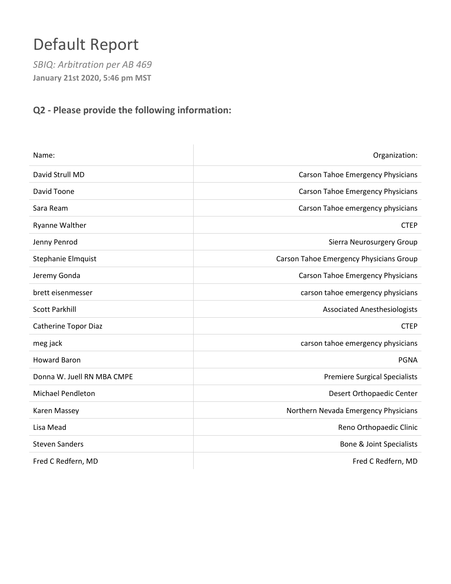# Default Report

*SBIQ: Arbitration per AB 469* **January 21st 2020, 5:46 pm MST**

### **Q2 - Please provide the following information:**

| Name:                       | Organization:                            |
|-----------------------------|------------------------------------------|
| David Strull MD             | <b>Carson Tahoe Emergency Physicians</b> |
| David Toone                 | <b>Carson Tahoe Emergency Physicians</b> |
| Sara Ream                   | Carson Tahoe emergency physicians        |
| <b>Ryanne Walther</b>       | <b>CTEP</b>                              |
| Jenny Penrod                | Sierra Neurosurgery Group                |
| Stephanie Elmquist          | Carson Tahoe Emergency Physicians Group  |
| Jeremy Gonda                | <b>Carson Tahoe Emergency Physicians</b> |
| brett eisenmesser           | carson tahoe emergency physicians        |
| <b>Scott Parkhill</b>       | <b>Associated Anesthesiologists</b>      |
| <b>Catherine Topor Diaz</b> | <b>CTEP</b>                              |
| meg jack                    | carson tahoe emergency physicians        |
| <b>Howard Baron</b>         | <b>PGNA</b>                              |
| Donna W. Juell RN MBA CMPE  | <b>Premiere Surgical Specialists</b>     |
| <b>Michael Pendleton</b>    | Desert Orthopaedic Center                |
| Karen Massey                | Northern Nevada Emergency Physicians     |
| Lisa Mead                   | Reno Orthopaedic Clinic                  |
| <b>Steven Sanders</b>       | <b>Bone &amp; Joint Specialists</b>      |
| Fred C Redfern, MD          | Fred C Redfern, MD                       |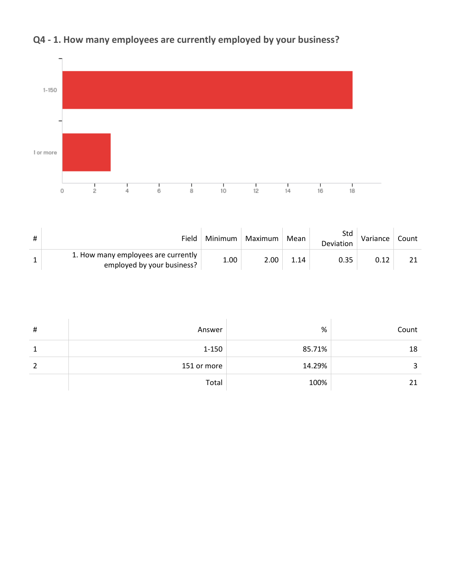

# **Q4 - 1. How many employees are currently employed by your business?**

| Field                                                             | Minimum | Maximum | Mean | Std<br><b>Deviation</b> | Variance | Count |
|-------------------------------------------------------------------|---------|---------|------|-------------------------|----------|-------|
| 1. How many employees are currently<br>employed by your business? | 1.00    | 2.00    | 1.14 | 0.35                    |          |       |

| # | Answer      | %      | Count |
|---|-------------|--------|-------|
|   | $1 - 150$   | 85.71% | 18    |
| 2 | 151 or more | 14.29% | 3     |
|   | Total       | 100%   | 21    |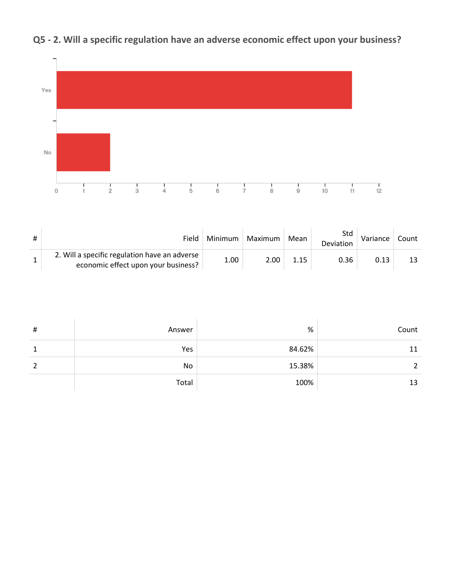

# **Q5 - 2. Will a specific regulation have an adverse economic effect upon your business?**

| # | Field                                                                                | Minimum | Maximum | Mean | Std<br><b>Deviation</b> | Variance | Count |
|---|--------------------------------------------------------------------------------------|---------|---------|------|-------------------------|----------|-------|
|   | 2. Will a specific regulation have an adverse<br>economic effect upon your business? | 1.00    | 2.00    | 1.15 | 0.36                    | 0.13     | 13.   |

| $\sharp$ | Answer | $\%$   | Count |
|----------|--------|--------|-------|
|          | Yes    | 84.62% | 11    |
|          | No     | 15.38% |       |
|          | Total  | 100%   | 13    |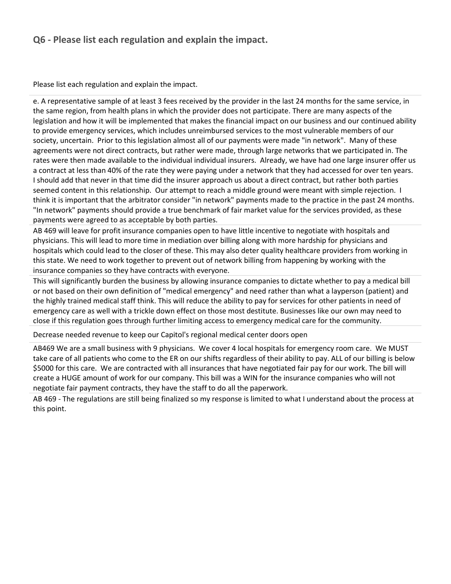### **Q6 - Please list each regulation and explain the impact.**

Please list each regulation and explain the impact.

e. A representative sample of at least 3 fees received by the provider in the last 24 months for the same service, in the same region, from health plans in which the provider does not participate. There are many aspects of the legislation and how it will be implemented that makes the financial impact on our business and our continued ability to provide emergency services, which includes unreimbursed services to the most vulnerable members of our society, uncertain. Prior to this legislation almost all of our payments were made "in network". Many of these agreements were not direct contracts, but rather were made, through large networks that we participated in. The rates were then made available to the individual individual insurers. Already, we have had one large insurer offer us a contract at less than 40% of the rate they were paying under a network that they had accessed for over ten years. I should add that never in that time did the insurer approach us about a direct contract, but rather both parties seemed content in this relationship. Our attempt to reach a middle ground were meant with simple rejection. I think it is important that the arbitrator consider "in network" payments made to the practice in the past 24 months. "In network" payments should provide a true benchmark of fair market value for the services provided, as these payments were agreed to as acceptable by both parties.

AB 469 will leave for profit insurance companies open to have little incentive to negotiate with hospitals and physicians. This will lead to more time in mediation over billing along with more hardship for physicians and hospitals which could lead to the closer of these. This may also deter quality healthcare providers from working in this state. We need to work together to prevent out of network billing from happening by working with the insurance companies so they have contracts with everyone.

This will significantly burden the business by allowing insurance companies to dictate whether to pay a medical bill or not based on their own definition of "medical emergency" and need rather than what a layperson (patient) and the highly trained medical staff think. This will reduce the ability to pay for services for other patients in need of emergency care as well with a trickle down effect on those most destitute. Businesses like our own may need to close if this regulation goes through further limiting access to emergency medical care for the community.

Decrease needed revenue to keep our Capitol's regional medical center doors open

AB469 We are a small business with 9 physicians. We cover 4 local hospitals for emergency room care. We MUST take care of all patients who come to the ER on our shifts regardless of their ability to pay. ALL of our billing is below \$5000 for this care. We are contracted with all insurances that have negotiated fair pay for our work. The bill will create a HUGE amount of work for our company. This bill was a WIN for the insurance companies who will not negotiate fair payment contracts, they have the staff to do all the paperwork.

AB 469 - The regulations are still being finalized so my response is limited to what I understand about the process at this point.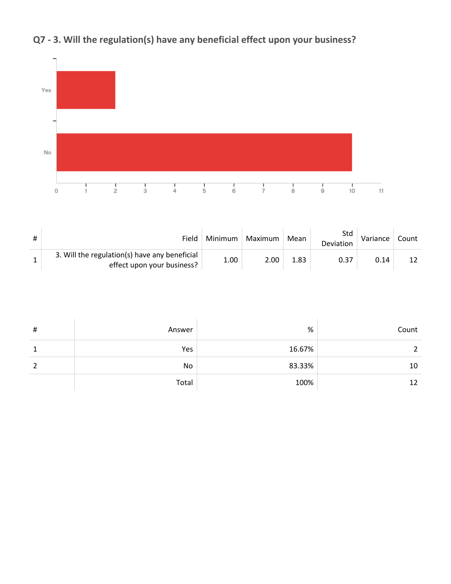

# **Q7 - 3. Will the regulation(s) have any beneficial effect upon your business?**

| Field                                                                       | Minimum | Maximum | Mean | Std<br>Deviation | Variance | Count |
|-----------------------------------------------------------------------------|---------|---------|------|------------------|----------|-------|
| 3. Will the regulation(s) have any beneficial<br>effect upon your business? | 1.00    | 2.00    | ⊥.83 | 0.37             | 0.14     |       |

| $\sharp$ | Answer | $\%$   | Count |
|----------|--------|--------|-------|
|          | Yes    | 16.67% |       |
| 2        | No     | 83.33% | 10    |
|          | Total  | 100%   | 12    |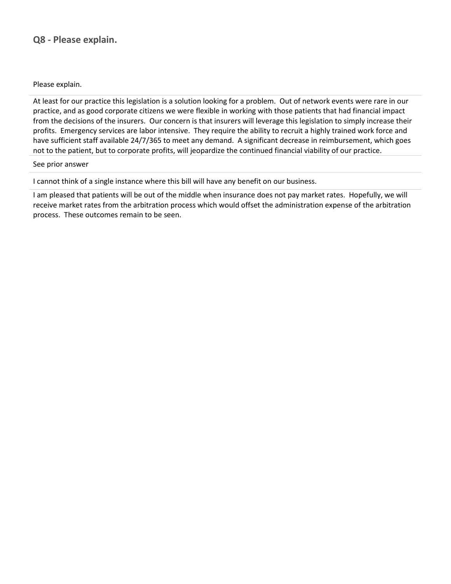### **Q8 - Please explain.**

Please explain.

At least for our practice this legislation is a solution looking for a problem. Out of network events were rare in our practice, and as good corporate citizens we were flexible in working with those patients that had financial impact from the decisions of the insurers. Our concern is that insurers will leverage this legislation to simply increase their profits. Emergency services are labor intensive. They require the ability to recruit a highly trained work force and have sufficient staff available 24/7/365 to meet any demand. A significant decrease in reimbursement, which goes not to the patient, but to corporate profits, will jeopardize the continued financial viability of our practice.

#### See prior answer

I cannot think of a single instance where this bill will have any benefit on our business.

I am pleased that patients will be out of the middle when insurance does not pay market rates. Hopefully, we will receive market rates from the arbitration process which would offset the administration expense of the arbitration process. These outcomes remain to be seen.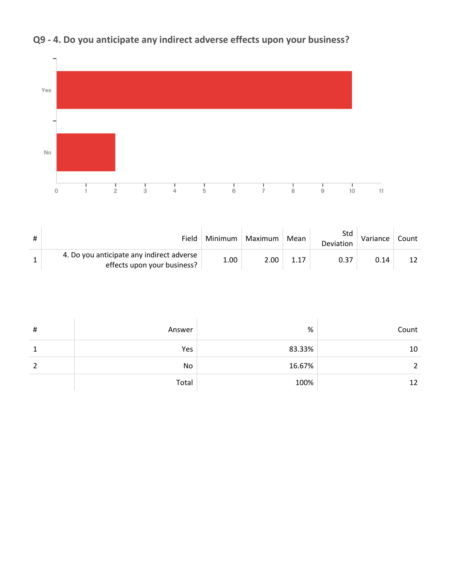

# **Q9 - 4. Do you anticipate any indirect adverse effects upon your business?**

| Field                                                                    | Minimum  | Maximum | Mean | Std<br>Deviation | Variance | Count |
|--------------------------------------------------------------------------|----------|---------|------|------------------|----------|-------|
| 4. Do you anticipate any indirect adverse<br>effects upon your business? | $1.00\,$ | 2.00    |      | 0.37             | 0.14     | 12    |

| $\sharp$ | Answer | $\%$   | Count |
|----------|--------|--------|-------|
| 1        | Yes    | 83.33% | 10    |
| 2        | No     | 16.67% |       |
|          | Total  | 100%   | 12    |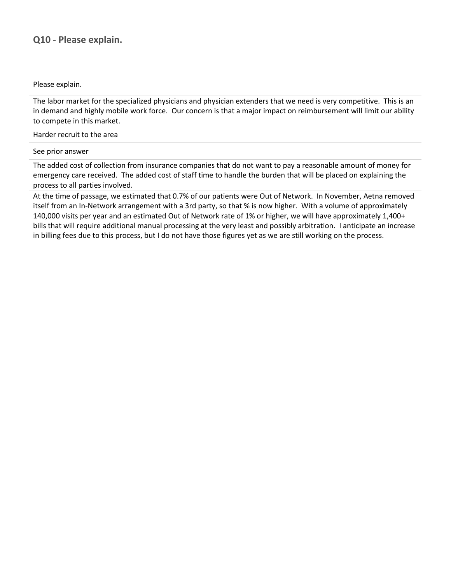### **Q10 - Please explain.**

Please explain.

The labor market for the specialized physicians and physician extenders that we need is very competitive. This is an in demand and highly mobile work force. Our concern is that a major impact on reimbursement will limit our ability to compete in this market.

Harder recruit to the area

#### See prior answer

The added cost of collection from insurance companies that do not want to pay a reasonable amount of money for emergency care received. The added cost of staff time to handle the burden that will be placed on explaining the process to all parties involved.

At the time of passage, we estimated that 0.7% of our patients were Out of Network. In November, Aetna removed itself from an In-Network arrangement with a 3rd party, so that % is now higher. With a volume of approximately 140,000 visits per year and an estimated Out of Network rate of 1% or higher, we will have approximately 1,400+ bills that will require additional manual processing at the very least and possibly arbitration. I anticipate an increase in billing fees due to this process, but I do not have those figures yet as we are still working on the process.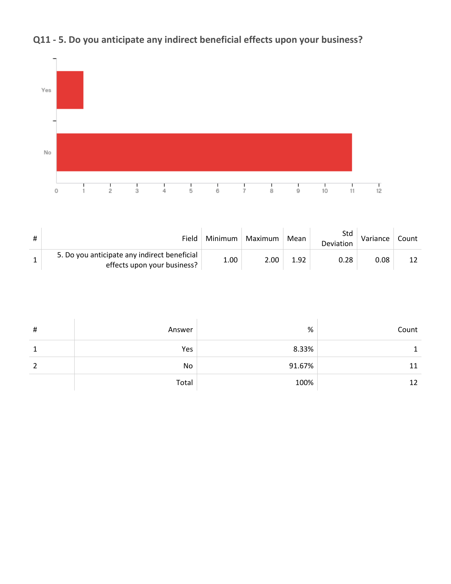

# **Q11 - 5. Do you anticipate any indirect beneficial effects upon your business?**

| Field                                                                       | Minimum | Maximum | Mean | Std<br>Deviation | Variance | Count |
|-----------------------------------------------------------------------------|---------|---------|------|------------------|----------|-------|
| 5. Do you anticipate any indirect beneficial<br>effects upon your business? | 1.00    | 2.00    | 1.92 | 0.28             | 0.08     | 12    |

| $\sharp$ | Answer | $\%$   | Count |
|----------|--------|--------|-------|
|          | Yes    | 8.33%  |       |
| 2        | No     | 91.67% | 11    |
|          | Total  | 100%   | 12    |